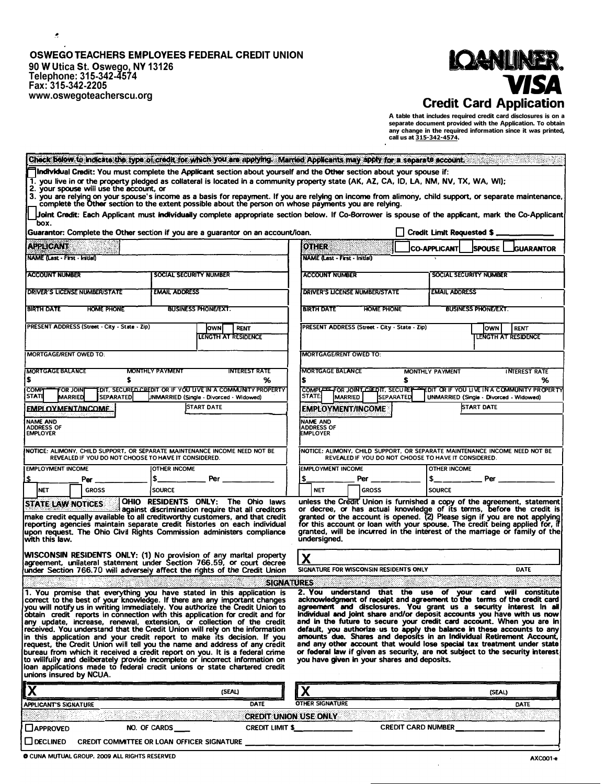# OSWEGO TEACHERS EMPLOYEES FEDERAL CREDIT UNION 90 W Utica St. Oswego, NY 13126<br>Telephone: 315-342-4574<br>Fax: 315-342-2205 www.oswegoteacherscu.org

 $\cdot$ 



A table that includes required credit card disclosures is on a<br>separate document provided with the Application. To obtain<br>any change in the required information since it was printed,<br>call us at  $315-342-4574$ .

|                                                                                          | Check Below to indicate the type of credit for which you are applying. Married Applicants may apply for a separate account.                                                                                                                                                                                                                                                                                                                                                                                                                                                                                                                                                                                                                                                                                                                                                     |                                                                                   |                                                                                                                                                                                                                                                                                                                                                                                                                                                                                                                                                                                                                                                               |  |
|------------------------------------------------------------------------------------------|---------------------------------------------------------------------------------------------------------------------------------------------------------------------------------------------------------------------------------------------------------------------------------------------------------------------------------------------------------------------------------------------------------------------------------------------------------------------------------------------------------------------------------------------------------------------------------------------------------------------------------------------------------------------------------------------------------------------------------------------------------------------------------------------------------------------------------------------------------------------------------|-----------------------------------------------------------------------------------|---------------------------------------------------------------------------------------------------------------------------------------------------------------------------------------------------------------------------------------------------------------------------------------------------------------------------------------------------------------------------------------------------------------------------------------------------------------------------------------------------------------------------------------------------------------------------------------------------------------------------------------------------------------|--|
| 2. your spouse will use the account, or                                                  | [Individual Credit: You must complete the Applicant section about yourself and the Other section about your spouse if:<br>1. you live in or the property pledged as collateral is located in a community property state (AK, AZ, CA, ID, LA, NM, NV, TX, WA, WI);<br>complete the Other section to the extent possible about the person on whose payments you are relying.                                                                                                                                                                                                                                                                                                                                                                                                                                                                                                      |                                                                                   | 3. you are relying on your spouse's income as a basis for repayment. If you are relying on income from alimony, child support, or separate maintenance                                                                                                                                                                                                                                                                                                                                                                                                                                                                                                        |  |
| box.                                                                                     |                                                                                                                                                                                                                                                                                                                                                                                                                                                                                                                                                                                                                                                                                                                                                                                                                                                                                 |                                                                                   | Joint Credit: Each Applicant must individually complete appropriate section below. If Co-Borrower is spouse of the applicant, mark the Co-Applicant                                                                                                                                                                                                                                                                                                                                                                                                                                                                                                           |  |
|                                                                                          | Guarantor: Complete the Other section if you are a guarantor on an account/ioan.                                                                                                                                                                                                                                                                                                                                                                                                                                                                                                                                                                                                                                                                                                                                                                                                |                                                                                   | Credit Limit Requested \$.                                                                                                                                                                                                                                                                                                                                                                                                                                                                                                                                                                                                                                    |  |
| APPLICANT                                                                                |                                                                                                                                                                                                                                                                                                                                                                                                                                                                                                                                                                                                                                                                                                                                                                                                                                                                                 | <b>OTHER</b>                                                                      | <b>CO-APPLICANT</b><br><b>SPOUSE</b><br><b>GUARANTOR</b>                                                                                                                                                                                                                                                                                                                                                                                                                                                                                                                                                                                                      |  |
| <b>NAME (Last - First - Initial)</b>                                                     |                                                                                                                                                                                                                                                                                                                                                                                                                                                                                                                                                                                                                                                                                                                                                                                                                                                                                 | <b>NAME (Last - First - Initial)</b>                                              |                                                                                                                                                                                                                                                                                                                                                                                                                                                                                                                                                                                                                                                               |  |
| <b>ACCOUNT NUMBER</b>                                                                    | SOCIAL SECURITY NUMBER                                                                                                                                                                                                                                                                                                                                                                                                                                                                                                                                                                                                                                                                                                                                                                                                                                                          | <b>ACCOUNT NUMBER</b>                                                             | SOCIAL SECURITY NUMBER                                                                                                                                                                                                                                                                                                                                                                                                                                                                                                                                                                                                                                        |  |
|                                                                                          |                                                                                                                                                                                                                                                                                                                                                                                                                                                                                                                                                                                                                                                                                                                                                                                                                                                                                 |                                                                                   |                                                                                                                                                                                                                                                                                                                                                                                                                                                                                                                                                                                                                                                               |  |
| DRIVER'S LICENSE NUMBER/STATE                                                            | <b>EMAIL ADDRESS</b>                                                                                                                                                                                                                                                                                                                                                                                                                                                                                                                                                                                                                                                                                                                                                                                                                                                            | DRIVER'S LICENSE NUMBER/STATE                                                     | <b>EMAIL ADDRESS</b>                                                                                                                                                                                                                                                                                                                                                                                                                                                                                                                                                                                                                                          |  |
| <b>BIRTH DATE</b><br><b>HOME PHONE</b><br><b>BUSINESS PHONE/EXT.</b>                     |                                                                                                                                                                                                                                                                                                                                                                                                                                                                                                                                                                                                                                                                                                                                                                                                                                                                                 | <b>BIRTH DATE</b><br>HOME PHONE                                                   | <b>BUSINESS PHONE/EXT.</b>                                                                                                                                                                                                                                                                                                                                                                                                                                                                                                                                                                                                                                    |  |
| PRESENT ADDRESS (Street · City · State · Zip)                                            | <b>RENT</b><br>lown l<br>LENGTH AT RESIDENCE                                                                                                                                                                                                                                                                                                                                                                                                                                                                                                                                                                                                                                                                                                                                                                                                                                    | PRESENT ADDRESS (Street - City - State - Zip)                                     | RENT<br>lown<br>LENGTH AT RESIDENCE                                                                                                                                                                                                                                                                                                                                                                                                                                                                                                                                                                                                                           |  |
| <b>MORTGAGE/RENT OWED TO:</b>                                                            |                                                                                                                                                                                                                                                                                                                                                                                                                                                                                                                                                                                                                                                                                                                                                                                                                                                                                 | <b>IMORTGAGE/RENT OWED TO:</b>                                                    |                                                                                                                                                                                                                                                                                                                                                                                                                                                                                                                                                                                                                                                               |  |
| <b>MORTGAGE BALANCE</b><br>\$<br>\$                                                      | <b>MONTHLY PAYMENT</b><br><b>INTEREST RATE</b><br>%                                                                                                                                                                                                                                                                                                                                                                                                                                                                                                                                                                                                                                                                                                                                                                                                                             | <b>MORTGAGE BALANCE</b><br>\$                                                     | <b>MONTHLY PAYMENT</b><br><b>INTEREST RATE</b><br>s<br>%                                                                                                                                                                                                                                                                                                                                                                                                                                                                                                                                                                                                      |  |
| COMP<br>For Joint<br><b>STATI</b><br><b>MARRIED</b><br><b>SEPARATED</b>                  | OIT, SECURED CREDIT OR IF YOU LIVE IN A COMMUNITY PROPERTY!<br>JNMARRIED (Single - Divorced - Widowed)                                                                                                                                                                                                                                                                                                                                                                                                                                                                                                                                                                                                                                                                                                                                                                          | COMPLETE FOR JOINT CREDIT, SECURE<br><b>STATE:</b><br>MARRIED<br><b>SEPARATED</b> | EDIT OR IF YOU LIVE IN A COMMUNITY PROPERTY<br>UNMARRIED (Single - Divorced - Widowed)                                                                                                                                                                                                                                                                                                                                                                                                                                                                                                                                                                        |  |
| <b>EMPLOYMENT/INCOME</b>                                                                 | <b>START DATE</b>                                                                                                                                                                                                                                                                                                                                                                                                                                                                                                                                                                                                                                                                                                                                                                                                                                                               | <b>EMPLOYMENT/INCOME</b>                                                          | <b>START DATE</b>                                                                                                                                                                                                                                                                                                                                                                                                                                                                                                                                                                                                                                             |  |
| <b>NAME AND</b><br>ADDRESS OF<br><b>EMPLOYER</b>                                         |                                                                                                                                                                                                                                                                                                                                                                                                                                                                                                                                                                                                                                                                                                                                                                                                                                                                                 | NAME AND<br><b>ADDRESS OF</b><br><b>EMPLOYER</b>                                  |                                                                                                                                                                                                                                                                                                                                                                                                                                                                                                                                                                                                                                                               |  |
| REVEALED IF YOU DO NOT CHOOSE TO HAVE IT CONSIDERED.                                     | Inotice: Alimony, Child Support, or separate maintenance income need not be                                                                                                                                                                                                                                                                                                                                                                                                                                                                                                                                                                                                                                                                                                                                                                                                     |                                                                                   | NOTICE: ALIMONY, CHILD SUPPORT, OR SEPARATE MAINTENANCE INCOME NEED NOT BE<br>REVEALED IF YOU DO NOT CHOOSE TO HAVE IT CONSIDERED.                                                                                                                                                                                                                                                                                                                                                                                                                                                                                                                            |  |
| <b>EMPLOYMENT INCOME</b>                                                                 | OTHER INCOME                                                                                                                                                                                                                                                                                                                                                                                                                                                                                                                                                                                                                                                                                                                                                                                                                                                                    | <b>EMPLOYMENT INCOME</b>                                                          | <b>OTHER INCOME</b>                                                                                                                                                                                                                                                                                                                                                                                                                                                                                                                                                                                                                                           |  |
| l\$<br>Per                                                                               | \$<br>Per                                                                                                                                                                                                                                                                                                                                                                                                                                                                                                                                                                                                                                                                                                                                                                                                                                                                       | \$<br>Per                                                                         | \$<br>Per                                                                                                                                                                                                                                                                                                                                                                                                                                                                                                                                                                                                                                                     |  |
| <b>NET</b><br><b>GROSS</b>                                                               | <b>SOURCE</b><br>OHIO RESIDENTS ONLY: The Ohio laws                                                                                                                                                                                                                                                                                                                                                                                                                                                                                                                                                                                                                                                                                                                                                                                                                             | <b>NET</b><br><b>GROSS</b>                                                        | <b>SOURCE</b><br>unless the Credit Union is furnished a copy of the agreement, statement                                                                                                                                                                                                                                                                                                                                                                                                                                                                                                                                                                      |  |
| <b>STATE LAW NOTICES</b><br>with this law.                                               | against discrimination require that all creditors<br>make credit equally available to all creditworthy customers, and that credit<br>reporting agencies maintain separate credit histories on each individual<br>upon request. The Ohio Civil Rights Commission administers compliance<br>WISCONSIN RESIDENTS ONLY: (1) No provision of any marital property<br>agreement, unilateral statement under Section 766.59, or court decree                                                                                                                                                                                                                                                                                                                                                                                                                                           | undersigned.                                                                      | or decree, or has actual knowledge of its terms, before the credit is<br>granted or the account is opened. (2) Please sign if you are not applying<br>for this account or loan with your spouse. The credit being applied for, if<br>granted, will be incurred in the interest of the marriage or family of the                                                                                                                                                                                                                                                                                                                                               |  |
|                                                                                          | lunder Section 766.70 will adversely affect the rights of the Credit Union                                                                                                                                                                                                                                                                                                                                                                                                                                                                                                                                                                                                                                                                                                                                                                                                      | SIGNATURE FOR WISCONSIN RESIDENTS ONLY                                            | <b>DATE</b>                                                                                                                                                                                                                                                                                                                                                                                                                                                                                                                                                                                                                                                   |  |
|                                                                                          |                                                                                                                                                                                                                                                                                                                                                                                                                                                                                                                                                                                                                                                                                                                                                                                                                                                                                 | <b>SIGNATURES</b>                                                                 |                                                                                                                                                                                                                                                                                                                                                                                                                                                                                                                                                                                                                                                               |  |
| unions insured by NCUA.                                                                  | 1. You promise that everything you have stated in this application is<br>correct to the best of your knowledge. If there are any important changes<br>you will notify us in writing immediately. You authorize the Credit Union to<br>obtain credit reports in connection with this application for credit and for<br>any update, increase, renewal, extension, or collection of the credit<br>received. You understand that the Credit Union will rely on the information<br>in this application and your credit report to make its decision. If you<br>request, the Credit Union will tell you the name and address of any credit<br>bureau from which it received a credit report on you. It is a federal crime<br>to willfully and deliberately provide incomplete or incorrect information on<br>loan applications made to federal credit unions or state chartered credit | 2. You understand that the use<br>you have given in your shares and deposits.     | your<br>card<br>will<br>constitute<br>of<br>acknowledgment or receipt and agreement to the terms or the credit card<br>agreement and disclosures. You grant us a security interest in all<br>individual and joint share and/or deposit accounts you have with us now<br>and in the future to secure your credit card account. When you are in<br>default, you authorize us to apply the balance in these accounts to any<br>amounts due. Shares and deposits in an Individual Retirement Account.<br>and any other account that would lose special tax treatment under state<br>or federal law if given as security, are not subject to the security interest |  |
| Х                                                                                        | (SEAL)                                                                                                                                                                                                                                                                                                                                                                                                                                                                                                                                                                                                                                                                                                                                                                                                                                                                          | X                                                                                 | (SEAL)                                                                                                                                                                                                                                                                                                                                                                                                                                                                                                                                                                                                                                                        |  |
| <b>APPLICANT'S SIGNATURE</b>                                                             | DATE                                                                                                                                                                                                                                                                                                                                                                                                                                                                                                                                                                                                                                                                                                                                                                                                                                                                            | <b>OTHER SIGNATURE</b>                                                            | DATE                                                                                                                                                                                                                                                                                                                                                                                                                                                                                                                                                                                                                                                          |  |
| <b>CREDIT UNION USE ONLY</b>                                                             |                                                                                                                                                                                                                                                                                                                                                                                                                                                                                                                                                                                                                                                                                                                                                                                                                                                                                 |                                                                                   |                                                                                                                                                                                                                                                                                                                                                                                                                                                                                                                                                                                                                                                               |  |
| NO. OF CARDS<br><b>CREDIT LIMIT \$_</b><br><b>CREDIT CARD NUMBER</b><br><b>∟APPROVED</b> |                                                                                                                                                                                                                                                                                                                                                                                                                                                                                                                                                                                                                                                                                                                                                                                                                                                                                 |                                                                                   |                                                                                                                                                                                                                                                                                                                                                                                                                                                                                                                                                                                                                                                               |  |
| ∐DECLINED                                                                                | <b>CREDIT COMMITTEE OR LOAN OFFICER SIGNATURE</b>                                                                                                                                                                                                                                                                                                                                                                                                                                                                                                                                                                                                                                                                                                                                                                                                                               |                                                                                   |                                                                                                                                                                                                                                                                                                                                                                                                                                                                                                                                                                                                                                                               |  |
|                                                                                          |                                                                                                                                                                                                                                                                                                                                                                                                                                                                                                                                                                                                                                                                                                                                                                                                                                                                                 |                                                                                   |                                                                                                                                                                                                                                                                                                                                                                                                                                                                                                                                                                                                                                                               |  |

O CUNA MUTUAL GROUP, 2009 ALL RIGHTS RESERVED

 $\bar{\alpha}$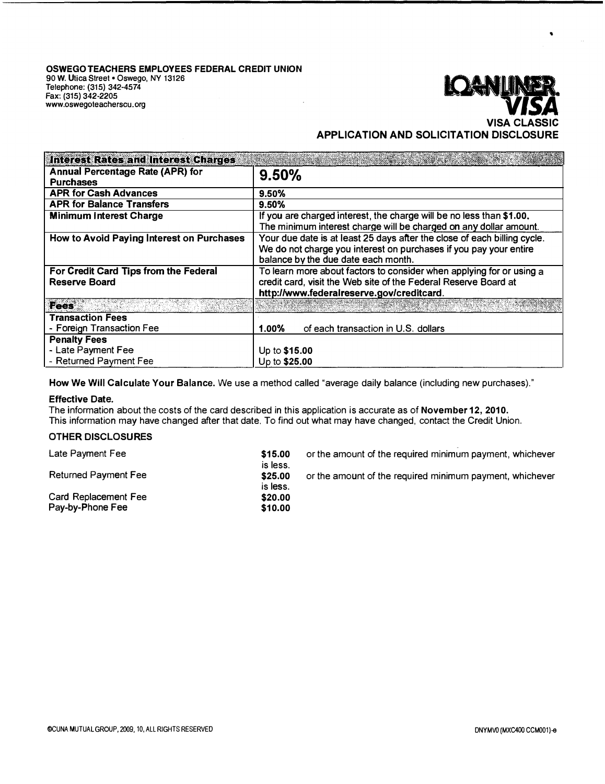

 $\bullet$ 

**APPLICATION AND SOLICITATION DISCLOSURE** 

| <b>Interest Rates and Interest Charges</b> |                                                                          |  |  |
|--------------------------------------------|--------------------------------------------------------------------------|--|--|
| Annual Percentage Rate (APR) for           | 9.50%                                                                    |  |  |
| <b>Purchases</b>                           |                                                                          |  |  |
| <b>APR for Cash Advances</b>               | 9.50%                                                                    |  |  |
| <b>APR for Balance Transfers</b>           | 9.50%                                                                    |  |  |
| <b>Minimum Interest Charge</b>             | If you are charged interest, the charge will be no less than \$1.00.     |  |  |
|                                            | The minimum interest charge will be charged on any dollar amount.        |  |  |
| How to Avoid Paying Interest on Purchases  | Your due date is at least 25 days after the close of each billing cycle. |  |  |
|                                            | We do not charge you interest on purchases if you pay your entire        |  |  |
|                                            | balance by the due date each month.                                      |  |  |
| For Credit Card Tips from the Federal      | To learn more about factors to consider when applying for or using a     |  |  |
| Reserve Board                              | credit card, visit the Web site of the Federal Reserve Board at          |  |  |
|                                            | http://www.federalreserve.gov/creditcard.                                |  |  |
| <b>Fees</b>                                |                                                                          |  |  |
| <b>Transaction Fees</b>                    |                                                                          |  |  |
| - Foreign Transaction Fee                  | of each transaction in U.S. dollars<br>$1.00\%$                          |  |  |
| <b>Penalty Fees</b>                        |                                                                          |  |  |
| - Late Payment Fee                         | Up to \$15.00                                                            |  |  |
| - Returned Payment Fee                     | Up to \$25.00                                                            |  |  |

**How We Will Calculate Your Balance.** We use a method called "average daily balance (including new purchases)."

#### **Effective Date.**

The information about the costs of the card described in this application is accurate as of **November 12, 2010.**  This information may have changed after that date. To find out what may have changed, contact the Credit Union.

### **OTHER DISCLOSURES**

| Late Payment Fee                         | \$15.00<br>is less. | or the amount of the required minimum payment, whichever |
|------------------------------------------|---------------------|----------------------------------------------------------|
| <b>Returned Payment Fee</b>              | \$25.00<br>is less. | or the amount of the required minimum payment, whichever |
| Card Replacement Fee<br>Pay-by-Phone Fee | \$20.00<br>\$10.00  |                                                          |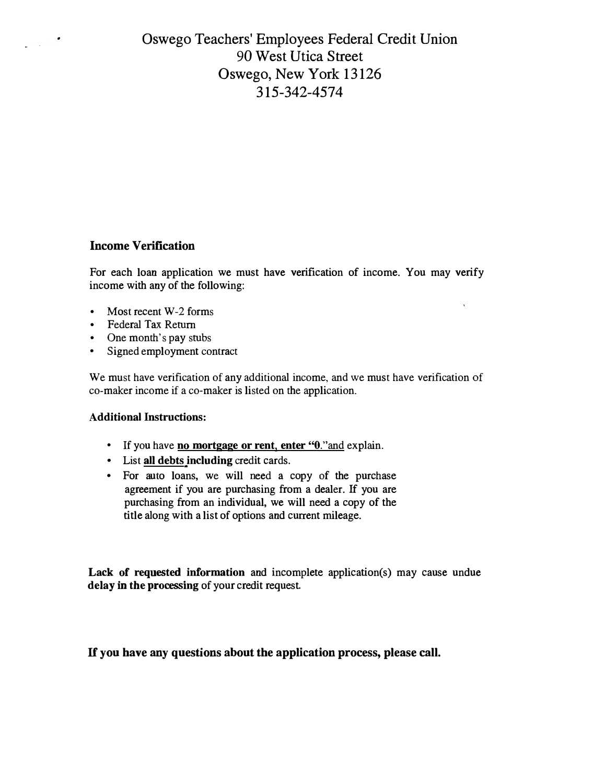## Oswego Teachers' Employees Federal Credit Union 90 West Utica Street Oswego, New York 13126 315-342-4574

## **Income Verification**

 $\frac{1}{2}$  ,  $\frac{1}{2}$ 

For each loan application we must have verification of income. You may verify income with any of the following:

 $\hat{\mathbf{r}}$ 

- Most recent W-2 forms
- Federal Tax Return
- One month's pay stubs
- Signed employment contract

We must have verification of any additional income, and we must have verification of co-maker income if a co-maker is listed on the application.

### **Additional Instructions:**

- If you have **no mortgage or rent, enter** "0."and explain.
- List **all debts including** credit cards.
- For auto loans, we will need a copy of the purchase agreement if you are purchasing from a dealer. If you are purchasing from an individual, we will need a copy of the title along with a list of options and current mileage.

**Lack of requested information** and incomplete application(s) may cause undue **delay** in **the processing** of your credit request.

## **H you have any questions about the application process, please call.**